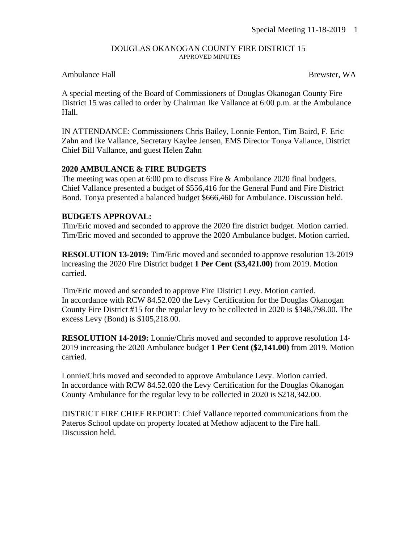#### DOUGLAS OKANOGAN COUNTY FIRE DISTRICT 15 APPROVED MINUTES

#### Ambulance Hall Brewster, WA

A special meeting of the Board of Commissioners of Douglas Okanogan County Fire District 15 was called to order by Chairman Ike Vallance at 6:00 p.m. at the Ambulance Hall.

IN ATTENDANCE: Commissioners Chris Bailey, Lonnie Fenton, Tim Baird, F. Eric Zahn and Ike Vallance, Secretary Kaylee Jensen, EMS Director Tonya Vallance, District Chief Bill Vallance, and guest Helen Zahn

## **2020 AMBULANCE & FIRE BUDGETS**

The meeting was open at 6:00 pm to discuss Fire & Ambulance 2020 final budgets. Chief Vallance presented a budget of \$556,416 for the General Fund and Fire District Bond. Tonya presented a balanced budget \$666,460 for Ambulance. Discussion held.

## **BUDGETS APPROVAL:**

Tim/Eric moved and seconded to approve the 2020 fire district budget. Motion carried. Tim/Eric moved and seconded to approve the 2020 Ambulance budget. Motion carried.

**RESOLUTION 13-2019:** Tim/Eric moved and seconded to approve resolution 13-2019 increasing the 2020 Fire District budget **1 Per Cent (\$3,421.00)** from 2019. Motion carried.

Tim/Eric moved and seconded to approve Fire District Levy. Motion carried. In accordance with RCW 84.52.020 the Levy Certification for the Douglas Okanogan County Fire District #15 for the regular levy to be collected in 2020 is \$348,798.00. The excess Levy (Bond) is \$105,218.00.

**RESOLUTION 14-2019:** Lonnie/Chris moved and seconded to approve resolution 14- 2019 increasing the 2020 Ambulance budget **1 Per Cent (\$2,141.00)** from 2019. Motion carried.

Lonnie/Chris moved and seconded to approve Ambulance Levy. Motion carried. In accordance with RCW 84.52.020 the Levy Certification for the Douglas Okanogan County Ambulance for the regular levy to be collected in 2020 is \$218,342.00.

DISTRICT FIRE CHIEF REPORT: Chief Vallance reported communications from the Pateros School update on property located at Methow adjacent to the Fire hall. Discussion held.